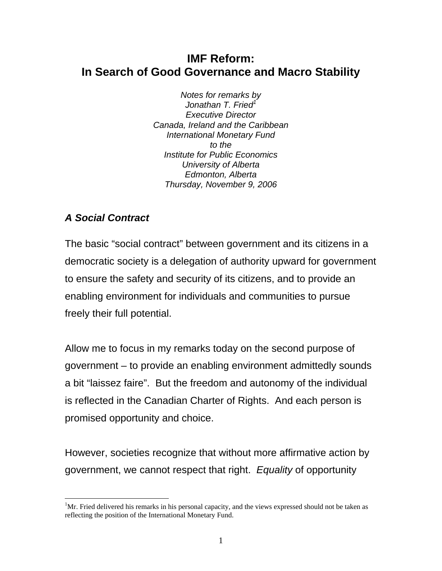## **IMF Reform: In Search of Good Governance and Macro Stability**

*Notes for remarks by Jonathan T. Fried1 Executive Director Canada, Ireland and the Caribbean International Monetary Fund to the Institute for Public Economics University of Alberta Edmonton, Alberta Thursday, November 9, 2006*

# *A Social Contract*

 $\overline{a}$ 

The basic "social contract" between government and its citizens in a democratic society is a delegation of authority upward for government to ensure the safety and security of its citizens, and to provide an enabling environment for individuals and communities to pursue freely their full potential.

Allow me to focus in my remarks today on the second purpose of government – to provide an enabling environment admittedly sounds a bit "laissez faire". But the freedom and autonomy of the individual is reflected in the Canadian Charter of Rights. And each person is promised opportunity and choice.

However, societies recognize that without more affirmative action by government, we cannot respect that right. *Equality* of opportunity

<sup>&</sup>lt;sup>1</sup>Mr. Fried delivered his remarks in his personal capacity, and the views expressed should not be taken as reflecting the position of the International Monetary Fund.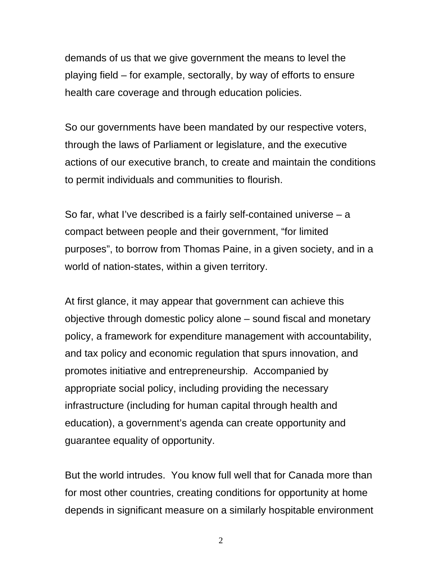demands of us that we give government the means to level the playing field – for example, sectorally, by way of efforts to ensure health care coverage and through education policies.

So our governments have been mandated by our respective voters, through the laws of Parliament or legislature, and the executive actions of our executive branch, to create and maintain the conditions to permit individuals and communities to flourish.

So far, what I've described is a fairly self-contained universe – a compact between people and their government, "for limited purposes", to borrow from Thomas Paine, in a given society, and in a world of nation-states, within a given territory.

At first glance, it may appear that government can achieve this objective through domestic policy alone – sound fiscal and monetary policy, a framework for expenditure management with accountability, and tax policy and economic regulation that spurs innovation, and promotes initiative and entrepreneurship. Accompanied by appropriate social policy, including providing the necessary infrastructure (including for human capital through health and education), a government's agenda can create opportunity and guarantee equality of opportunity.

But the world intrudes. You know full well that for Canada more than for most other countries, creating conditions for opportunity at home depends in significant measure on a similarly hospitable environment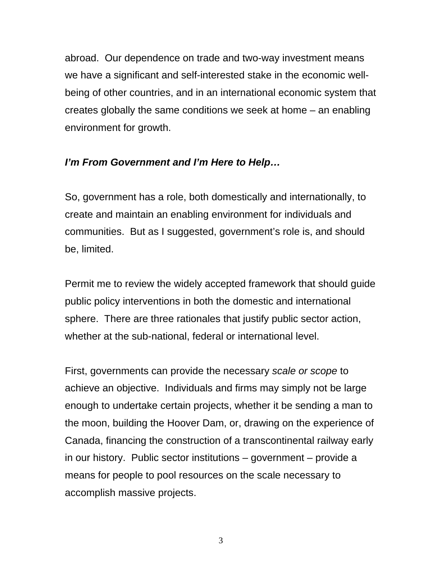abroad. Our dependence on trade and two-way investment means we have a significant and self-interested stake in the economic wellbeing of other countries, and in an international economic system that creates globally the same conditions we seek at home – an enabling environment for growth.

### *I'm From Government and I'm Here to Help…*

So, government has a role, both domestically and internationally, to create and maintain an enabling environment for individuals and communities. But as I suggested, government's role is, and should be, limited.

Permit me to review the widely accepted framework that should guide public policy interventions in both the domestic and international sphere. There are three rationales that justify public sector action, whether at the sub-national, federal or international level.

First, governments can provide the necessary *scale or scope* to achieve an objective. Individuals and firms may simply not be large enough to undertake certain projects, whether it be sending a man to the moon, building the Hoover Dam, or, drawing on the experience of Canada, financing the construction of a transcontinental railway early in our history. Public sector institutions – government – provide a means for people to pool resources on the scale necessary to accomplish massive projects.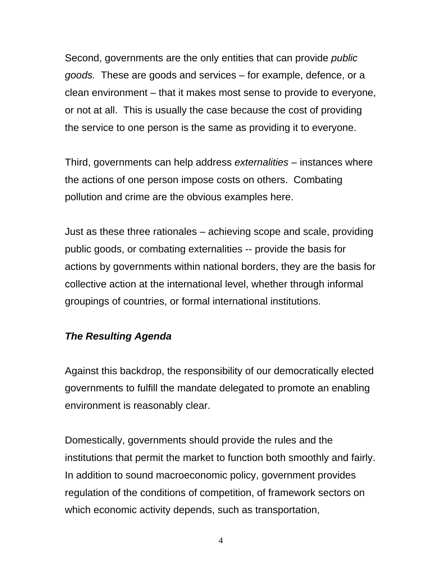Second, governments are the only entities that can provide *public goods.* These are goods and services – for example, defence, or a clean environment – that it makes most sense to provide to everyone, or not at all. This is usually the case because the cost of providing the service to one person is the same as providing it to everyone.

Third, governments can help address *externalities* – instances where the actions of one person impose costs on others. Combating pollution and crime are the obvious examples here.

Just as these three rationales – achieving scope and scale, providing public goods, or combating externalities -- provide the basis for actions by governments within national borders, they are the basis for collective action at the international level, whether through informal groupings of countries, or formal international institutions.

## *The Resulting Agenda*

Against this backdrop, the responsibility of our democratically elected governments to fulfill the mandate delegated to promote an enabling environment is reasonably clear.

Domestically, governments should provide the rules and the institutions that permit the market to function both smoothly and fairly. In addition to sound macroeconomic policy, government provides regulation of the conditions of competition, of framework sectors on which economic activity depends, such as transportation,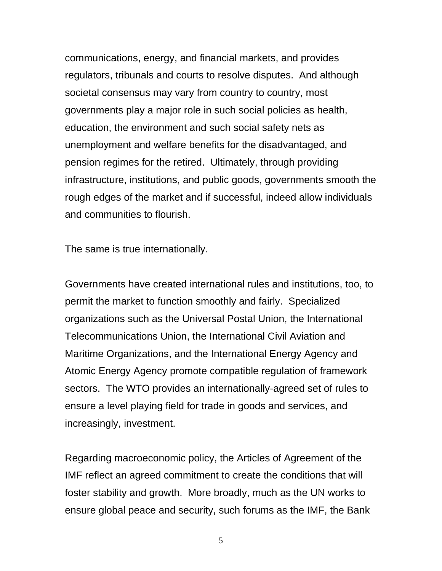communications, energy, and financial markets, and provides regulators, tribunals and courts to resolve disputes. And although societal consensus may vary from country to country, most governments play a major role in such social policies as health, education, the environment and such social safety nets as unemployment and welfare benefits for the disadvantaged, and pension regimes for the retired. Ultimately, through providing infrastructure, institutions, and public goods, governments smooth the rough edges of the market and if successful, indeed allow individuals and communities to flourish.

The same is true internationally.

Governments have created international rules and institutions, too, to permit the market to function smoothly and fairly. Specialized organizations such as the Universal Postal Union, the International Telecommunications Union, the International Civil Aviation and Maritime Organizations, and the International Energy Agency and Atomic Energy Agency promote compatible regulation of framework sectors. The WTO provides an internationally-agreed set of rules to ensure a level playing field for trade in goods and services, and increasingly, investment.

Regarding macroeconomic policy, the Articles of Agreement of the IMF reflect an agreed commitment to create the conditions that will foster stability and growth. More broadly, much as the UN works to ensure global peace and security, such forums as the IMF, the Bank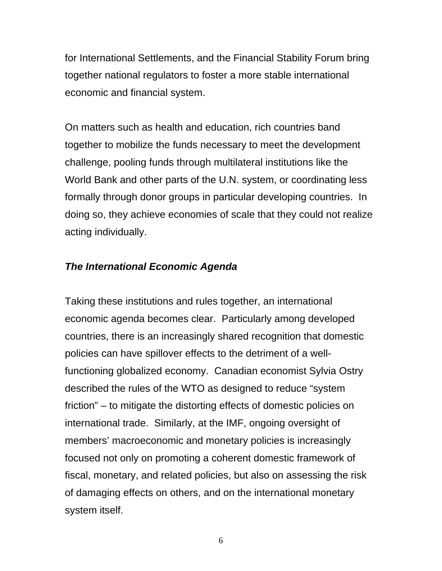for International Settlements, and the Financial Stability Forum bring together national regulators to foster a more stable international economic and financial system.

On matters such as health and education, rich countries band together to mobilize the funds necessary to meet the development challenge, pooling funds through multilateral institutions like the World Bank and other parts of the U.N. system, or coordinating less formally through donor groups in particular developing countries. In doing so, they achieve economies of scale that they could not realize acting individually.

#### *The International Economic Agenda*

Taking these institutions and rules together, an international economic agenda becomes clear. Particularly among developed countries, there is an increasingly shared recognition that domestic policies can have spillover effects to the detriment of a wellfunctioning globalized economy. Canadian economist Sylvia Ostry described the rules of the WTO as designed to reduce "system friction" – to mitigate the distorting effects of domestic policies on international trade. Similarly, at the IMF, ongoing oversight of members' macroeconomic and monetary policies is increasingly focused not only on promoting a coherent domestic framework of fiscal, monetary, and related policies, but also on assessing the risk of damaging effects on others, and on the international monetary system itself.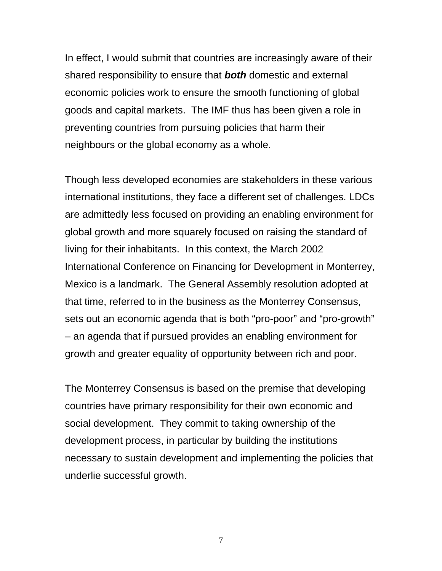In effect, I would submit that countries are increasingly aware of their shared responsibility to ensure that *both* domestic and external economic policies work to ensure the smooth functioning of global goods and capital markets. The IMF thus has been given a role in preventing countries from pursuing policies that harm their neighbours or the global economy as a whole.

Though less developed economies are stakeholders in these various international institutions, they face a different set of challenges. LDCs are admittedly less focused on providing an enabling environment for global growth and more squarely focused on raising the standard of living for their inhabitants. In this context, the March 2002 International Conference on Financing for Development in Monterrey, Mexico is a landmark. The General Assembly resolution adopted at that time, referred to in the business as the Monterrey Consensus, sets out an economic agenda that is both "pro-poor" and "pro-growth" – an agenda that if pursued provides an enabling environment for growth and greater equality of opportunity between rich and poor.

The Monterrey Consensus is based on the premise that developing countries have primary responsibility for their own economic and social development. They commit to taking ownership of the development process, in particular by building the institutions necessary to sustain development and implementing the policies that underlie successful growth.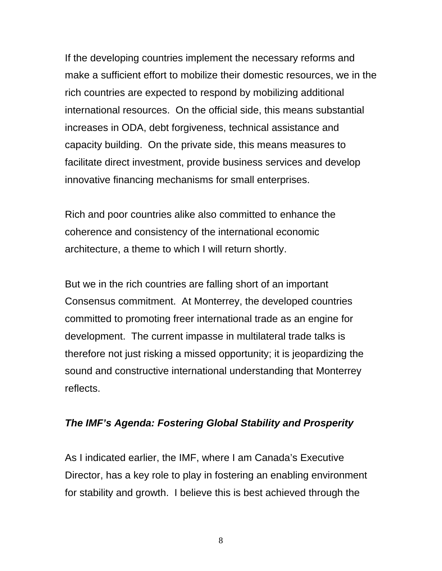If the developing countries implement the necessary reforms and make a sufficient effort to mobilize their domestic resources, we in the rich countries are expected to respond by mobilizing additional international resources. On the official side, this means substantial increases in ODA, debt forgiveness, technical assistance and capacity building. On the private side, this means measures to facilitate direct investment, provide business services and develop innovative financing mechanisms for small enterprises.

Rich and poor countries alike also committed to enhance the coherence and consistency of the international economic architecture, a theme to which I will return shortly.

But we in the rich countries are falling short of an important Consensus commitment. At Monterrey, the developed countries committed to promoting freer international trade as an engine for development. The current impasse in multilateral trade talks is therefore not just risking a missed opportunity; it is jeopardizing the sound and constructive international understanding that Monterrey reflects.

#### *The IMF's Agenda: Fostering Global Stability and Prosperity*

As I indicated earlier, the IMF, where I am Canada's Executive Director, has a key role to play in fostering an enabling environment for stability and growth. I believe this is best achieved through the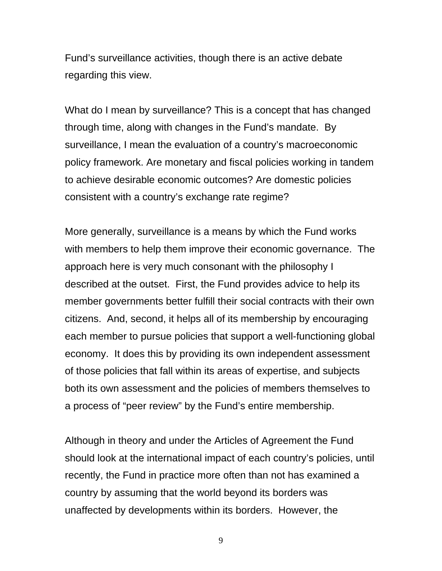Fund's surveillance activities, though there is an active debate regarding this view.

What do I mean by surveillance? This is a concept that has changed through time, along with changes in the Fund's mandate. By surveillance, I mean the evaluation of a country's macroeconomic policy framework. Are monetary and fiscal policies working in tandem to achieve desirable economic outcomes? Are domestic policies consistent with a country's exchange rate regime?

More generally, surveillance is a means by which the Fund works with members to help them improve their economic governance. The approach here is very much consonant with the philosophy I described at the outset. First, the Fund provides advice to help its member governments better fulfill their social contracts with their own citizens. And, second, it helps all of its membership by encouraging each member to pursue policies that support a well-functioning global economy. It does this by providing its own independent assessment of those policies that fall within its areas of expertise, and subjects both its own assessment and the policies of members themselves to a process of "peer review" by the Fund's entire membership.

Although in theory and under the Articles of Agreement the Fund should look at the international impact of each country's policies, until recently, the Fund in practice more often than not has examined a country by assuming that the world beyond its borders was unaffected by developments within its borders. However, the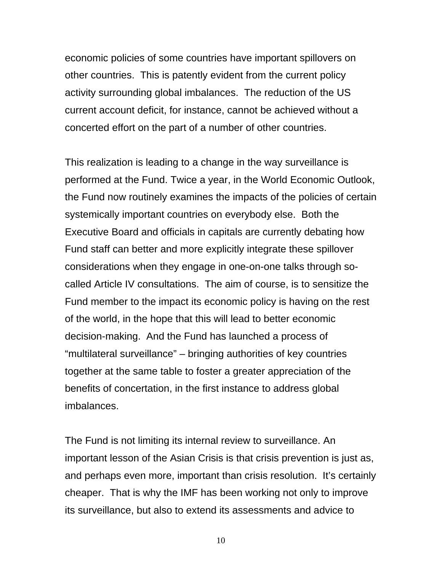economic policies of some countries have important spillovers on other countries. This is patently evident from the current policy activity surrounding global imbalances. The reduction of the US current account deficit, for instance, cannot be achieved without a concerted effort on the part of a number of other countries.

This realization is leading to a change in the way surveillance is performed at the Fund. Twice a year, in the World Economic Outlook, the Fund now routinely examines the impacts of the policies of certain systemically important countries on everybody else. Both the Executive Board and officials in capitals are currently debating how Fund staff can better and more explicitly integrate these spillover considerations when they engage in one-on-one talks through socalled Article IV consultations. The aim of course, is to sensitize the Fund member to the impact its economic policy is having on the rest of the world, in the hope that this will lead to better economic decision-making. And the Fund has launched a process of "multilateral surveillance" – bringing authorities of key countries together at the same table to foster a greater appreciation of the benefits of concertation, in the first instance to address global imbalances.

The Fund is not limiting its internal review to surveillance. An important lesson of the Asian Crisis is that crisis prevention is just as, and perhaps even more, important than crisis resolution. It's certainly cheaper. That is why the IMF has been working not only to improve its surveillance, but also to extend its assessments and advice to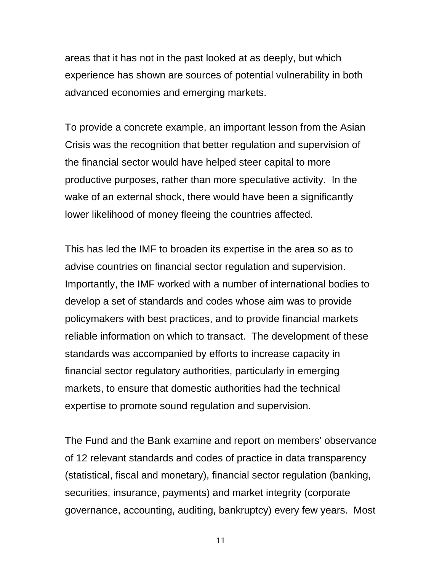areas that it has not in the past looked at as deeply, but which experience has shown are sources of potential vulnerability in both advanced economies and emerging markets.

To provide a concrete example, an important lesson from the Asian Crisis was the recognition that better regulation and supervision of the financial sector would have helped steer capital to more productive purposes, rather than more speculative activity. In the wake of an external shock, there would have been a significantly lower likelihood of money fleeing the countries affected.

This has led the IMF to broaden its expertise in the area so as to advise countries on financial sector regulation and supervision. Importantly, the IMF worked with a number of international bodies to develop a set of standards and codes whose aim was to provide policymakers with best practices, and to provide financial markets reliable information on which to transact. The development of these standards was accompanied by efforts to increase capacity in financial sector regulatory authorities, particularly in emerging markets, to ensure that domestic authorities had the technical expertise to promote sound regulation and supervision.

The Fund and the Bank examine and report on members' observance of 12 relevant standards and codes of practice in data transparency (statistical, fiscal and monetary), financial sector regulation (banking, securities, insurance, payments) and market integrity (corporate governance, accounting, auditing, bankruptcy) every few years. Most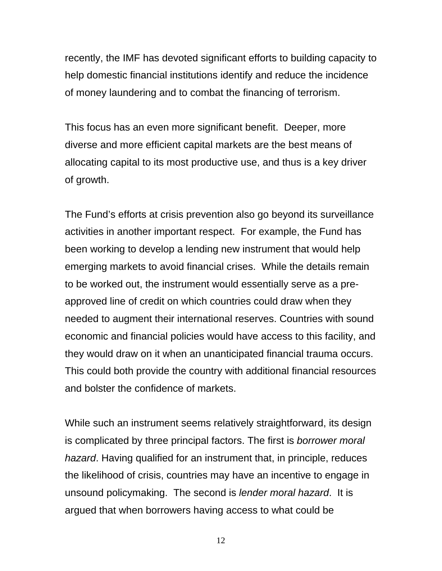recently, the IMF has devoted significant efforts to building capacity to help domestic financial institutions identify and reduce the incidence of money laundering and to combat the financing of terrorism.

This focus has an even more significant benefit. Deeper, more diverse and more efficient capital markets are the best means of allocating capital to its most productive use, and thus is a key driver of growth.

The Fund's efforts at crisis prevention also go beyond its surveillance activities in another important respect. For example, the Fund has been working to develop a lending new instrument that would help emerging markets to avoid financial crises. While the details remain to be worked out, the instrument would essentially serve as a preapproved line of credit on which countries could draw when they needed to augment their international reserves. Countries with sound economic and financial policies would have access to this facility, and they would draw on it when an unanticipated financial trauma occurs. This could both provide the country with additional financial resources and bolster the confidence of markets.

While such an instrument seems relatively straightforward, its design is complicated by three principal factors. The first is *borrower moral hazard*. Having qualified for an instrument that, in principle, reduces the likelihood of crisis, countries may have an incentive to engage in unsound policymaking. The second is *lender moral hazard*. It is argued that when borrowers having access to what could be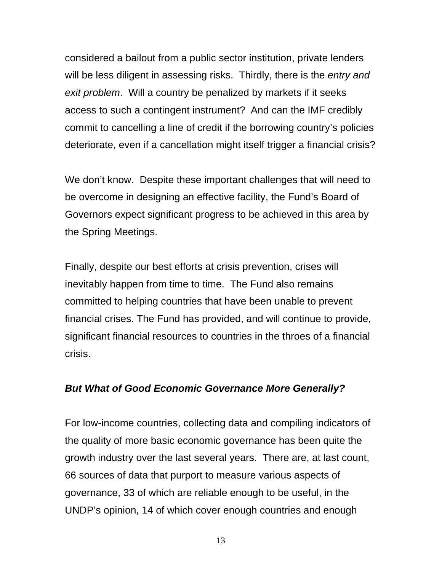considered a bailout from a public sector institution, private lenders will be less diligent in assessing risks. Thirdly, there is the *entry and exit problem*. Will a country be penalized by markets if it seeks access to such a contingent instrument? And can the IMF credibly commit to cancelling a line of credit if the borrowing country's policies deteriorate, even if a cancellation might itself trigger a financial crisis?

We don't know. Despite these important challenges that will need to be overcome in designing an effective facility, the Fund's Board of Governors expect significant progress to be achieved in this area by the Spring Meetings.

Finally, despite our best efforts at crisis prevention, crises will inevitably happen from time to time. The Fund also remains committed to helping countries that have been unable to prevent financial crises. The Fund has provided, and will continue to provide, significant financial resources to countries in the throes of a financial crisis.

#### *But What of Good Economic Governance More Generally?*

For low-income countries, collecting data and compiling indicators of the quality of more basic economic governance has been quite the growth industry over the last several years. There are, at last count, 66 sources of data that purport to measure various aspects of governance, 33 of which are reliable enough to be useful, in the UNDP's opinion, 14 of which cover enough countries and enough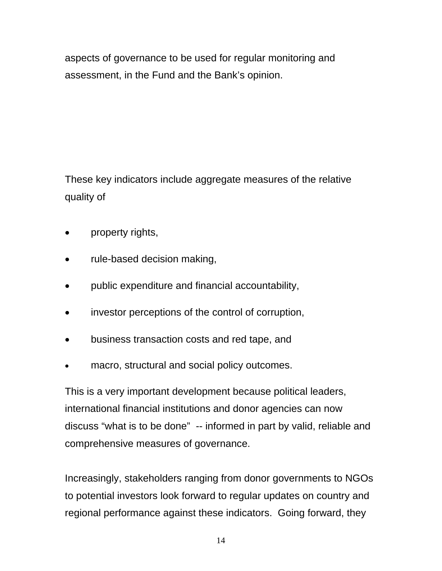aspects of governance to be used for regular monitoring and assessment, in the Fund and the Bank's opinion.

These key indicators include aggregate measures of the relative quality of

- property rights,
- rule-based decision making,
- public expenditure and financial accountability,
- investor perceptions of the control of corruption,
- business transaction costs and red tape, and
- macro, structural and social policy outcomes.

This is a very important development because political leaders, international financial institutions and donor agencies can now discuss "what is to be done" -- informed in part by valid, reliable and comprehensive measures of governance.

Increasingly, stakeholders ranging from donor governments to NGOs to potential investors look forward to regular updates on country and regional performance against these indicators. Going forward, they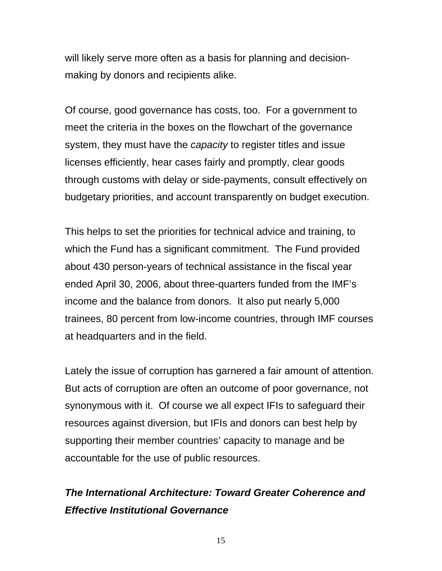will likely serve more often as a basis for planning and decisionmaking by donors and recipients alike.

Of course, good governance has costs, too. For a government to meet the criteria in the boxes on the flowchart of the governance system, they must have the *capacity* to register titles and issue licenses efficiently, hear cases fairly and promptly, clear goods through customs with delay or side-payments, consult effectively on budgetary priorities, and account transparently on budget execution.

This helps to set the priorities for technical advice and training, to which the Fund has a significant commitment. The Fund provided about 430 person-years of technical assistance in the fiscal year ended April 30, 2006, about three-quarters funded from the IMF's income and the balance from donors. It also put nearly 5,000 trainees, 80 percent from low-income countries, through IMF courses at headquarters and in the field.

Lately the issue of corruption has garnered a fair amount of attention. But acts of corruption are often an outcome of poor governance, not synonymous with it. Of course we all expect IFIs to safeguard their resources against diversion, but IFIs and donors can best help by supporting their member countries' capacity to manage and be accountable for the use of public resources.

# *The International Architecture: Toward Greater Coherence and Effective Institutional Governance*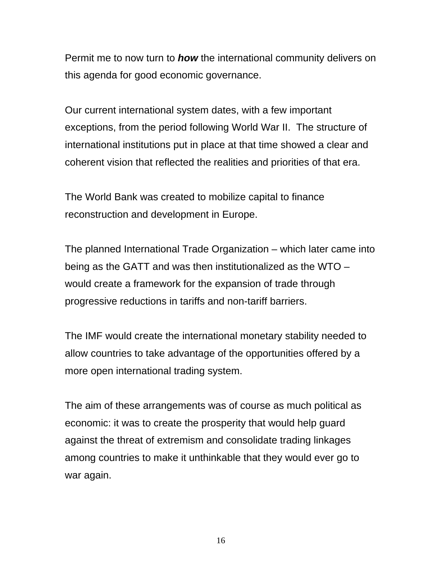Permit me to now turn to *how* the international community delivers on this agenda for good economic governance.

Our current international system dates, with a few important exceptions, from the period following World War II. The structure of international institutions put in place at that time showed a clear and coherent vision that reflected the realities and priorities of that era.

The World Bank was created to mobilize capital to finance reconstruction and development in Europe.

The planned International Trade Organization – which later came into being as the GATT and was then institutionalized as the WTO – would create a framework for the expansion of trade through progressive reductions in tariffs and non-tariff barriers.

The IMF would create the international monetary stability needed to allow countries to take advantage of the opportunities offered by a more open international trading system.

The aim of these arrangements was of course as much political as economic: it was to create the prosperity that would help guard against the threat of extremism and consolidate trading linkages among countries to make it unthinkable that they would ever go to war again.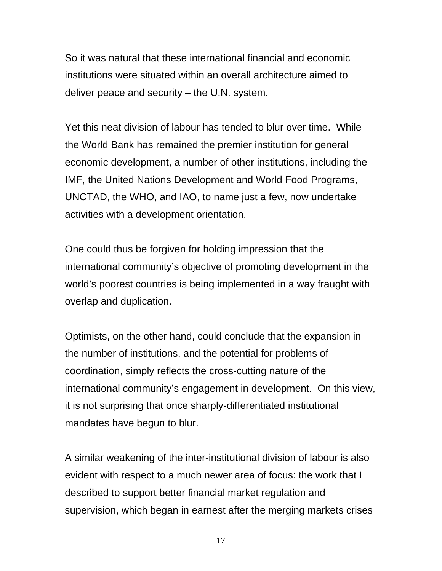So it was natural that these international financial and economic institutions were situated within an overall architecture aimed to deliver peace and security – the U.N. system.

Yet this neat division of labour has tended to blur over time. While the World Bank has remained the premier institution for general economic development, a number of other institutions, including the IMF, the United Nations Development and World Food Programs, UNCTAD, the WHO, and IAO, to name just a few, now undertake activities with a development orientation.

One could thus be forgiven for holding impression that the international community's objective of promoting development in the world's poorest countries is being implemented in a way fraught with overlap and duplication.

Optimists, on the other hand, could conclude that the expansion in the number of institutions, and the potential for problems of coordination, simply reflects the cross-cutting nature of the international community's engagement in development. On this view, it is not surprising that once sharply-differentiated institutional mandates have begun to blur.

A similar weakening of the inter-institutional division of labour is also evident with respect to a much newer area of focus: the work that I described to support better financial market regulation and supervision, which began in earnest after the merging markets crises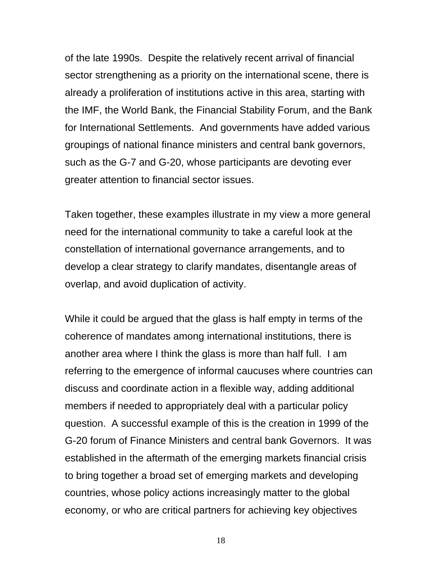of the late 1990s. Despite the relatively recent arrival of financial sector strengthening as a priority on the international scene, there is already a proliferation of institutions active in this area, starting with the IMF, the World Bank, the Financial Stability Forum, and the Bank for International Settlements. And governments have added various groupings of national finance ministers and central bank governors, such as the G-7 and G-20, whose participants are devoting ever greater attention to financial sector issues.

Taken together, these examples illustrate in my view a more general need for the international community to take a careful look at the constellation of international governance arrangements, and to develop a clear strategy to clarify mandates, disentangle areas of overlap, and avoid duplication of activity.

While it could be argued that the glass is half empty in terms of the coherence of mandates among international institutions, there is another area where I think the glass is more than half full. I am referring to the emergence of informal caucuses where countries can discuss and coordinate action in a flexible way, adding additional members if needed to appropriately deal with a particular policy question. A successful example of this is the creation in 1999 of the G-20 forum of Finance Ministers and central bank Governors. It was established in the aftermath of the emerging markets financial crisis to bring together a broad set of emerging markets and developing countries, whose policy actions increasingly matter to the global economy, or who are critical partners for achieving key objectives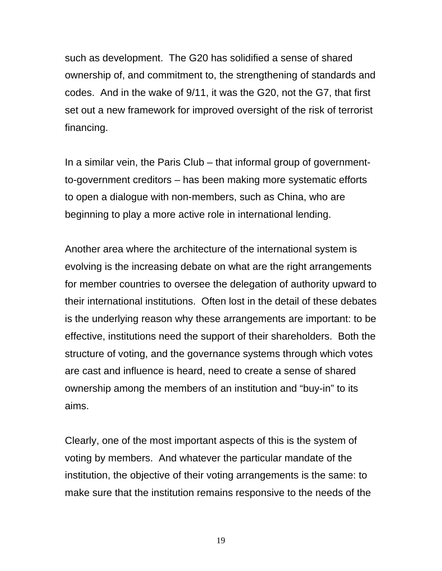such as development. The G20 has solidified a sense of shared ownership of, and commitment to, the strengthening of standards and codes. And in the wake of 9/11, it was the G20, not the G7, that first set out a new framework for improved oversight of the risk of terrorist financing.

In a similar vein, the Paris Club – that informal group of governmentto-government creditors – has been making more systematic efforts to open a dialogue with non-members, such as China, who are beginning to play a more active role in international lending.

Another area where the architecture of the international system is evolving is the increasing debate on what are the right arrangements for member countries to oversee the delegation of authority upward to their international institutions. Often lost in the detail of these debates is the underlying reason why these arrangements are important: to be effective, institutions need the support of their shareholders. Both the structure of voting, and the governance systems through which votes are cast and influence is heard, need to create a sense of shared ownership among the members of an institution and "buy-in" to its aims.

Clearly, one of the most important aspects of this is the system of voting by members. And whatever the particular mandate of the institution, the objective of their voting arrangements is the same: to make sure that the institution remains responsive to the needs of the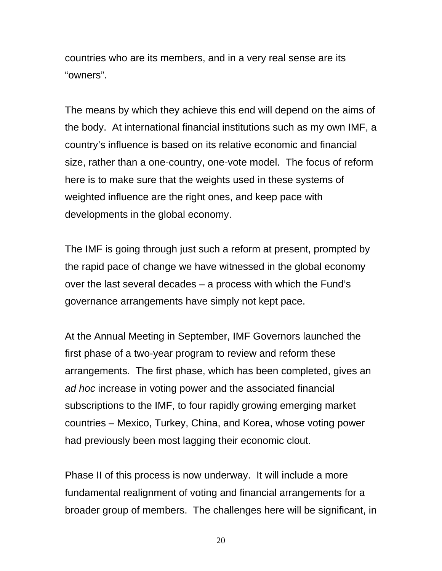countries who are its members, and in a very real sense are its "owners".

The means by which they achieve this end will depend on the aims of the body. At international financial institutions such as my own IMF, a country's influence is based on its relative economic and financial size, rather than a one-country, one-vote model. The focus of reform here is to make sure that the weights used in these systems of weighted influence are the right ones, and keep pace with developments in the global economy.

The IMF is going through just such a reform at present, prompted by the rapid pace of change we have witnessed in the global economy over the last several decades – a process with which the Fund's governance arrangements have simply not kept pace.

At the Annual Meeting in September, IMF Governors launched the first phase of a two-year program to review and reform these arrangements. The first phase, which has been completed, gives an *ad hoc* increase in voting power and the associated financial subscriptions to the IMF, to four rapidly growing emerging market countries – Mexico, Turkey, China, and Korea, whose voting power had previously been most lagging their economic clout.

Phase II of this process is now underway. It will include a more fundamental realignment of voting and financial arrangements for a broader group of members. The challenges here will be significant, in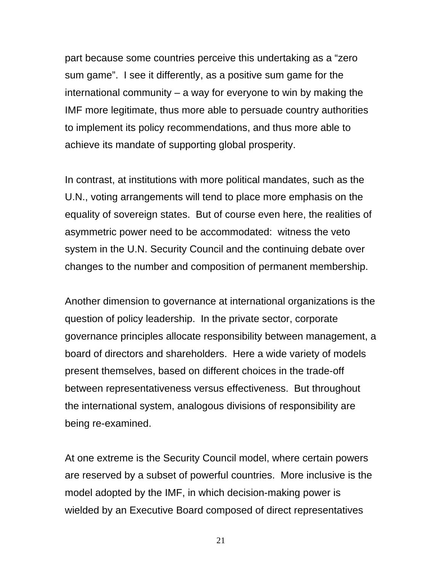part because some countries perceive this undertaking as a "zero sum game". I see it differently, as a positive sum game for the international community – a way for everyone to win by making the IMF more legitimate, thus more able to persuade country authorities to implement its policy recommendations, and thus more able to achieve its mandate of supporting global prosperity.

In contrast, at institutions with more political mandates, such as the U.N., voting arrangements will tend to place more emphasis on the equality of sovereign states. But of course even here, the realities of asymmetric power need to be accommodated: witness the veto system in the U.N. Security Council and the continuing debate over changes to the number and composition of permanent membership.

Another dimension to governance at international organizations is the question of policy leadership. In the private sector, corporate governance principles allocate responsibility between management, a board of directors and shareholders. Here a wide variety of models present themselves, based on different choices in the trade-off between representativeness versus effectiveness. But throughout the international system, analogous divisions of responsibility are being re-examined.

At one extreme is the Security Council model, where certain powers are reserved by a subset of powerful countries. More inclusive is the model adopted by the IMF, in which decision-making power is wielded by an Executive Board composed of direct representatives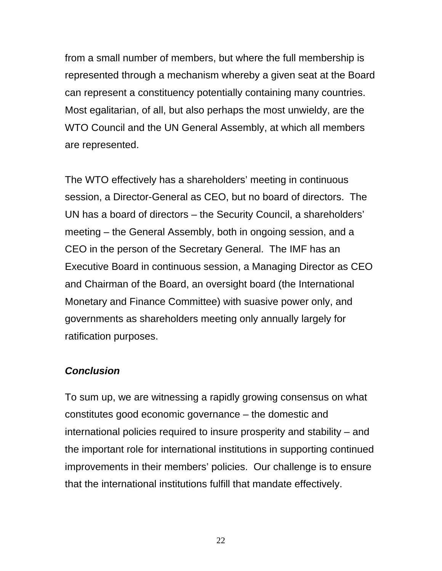from a small number of members, but where the full membership is represented through a mechanism whereby a given seat at the Board can represent a constituency potentially containing many countries. Most egalitarian, of all, but also perhaps the most unwieldy, are the WTO Council and the UN General Assembly, at which all members are represented.

The WTO effectively has a shareholders' meeting in continuous session, a Director-General as CEO, but no board of directors. The UN has a board of directors – the Security Council, a shareholders' meeting – the General Assembly, both in ongoing session, and a CEO in the person of the Secretary General. The IMF has an Executive Board in continuous session, a Managing Director as CEO and Chairman of the Board, an oversight board (the International Monetary and Finance Committee) with suasive power only, and governments as shareholders meeting only annually largely for ratification purposes.

#### *Conclusion*

To sum up, we are witnessing a rapidly growing consensus on what constitutes good economic governance – the domestic and international policies required to insure prosperity and stability – and the important role for international institutions in supporting continued improvements in their members' policies. Our challenge is to ensure that the international institutions fulfill that mandate effectively.